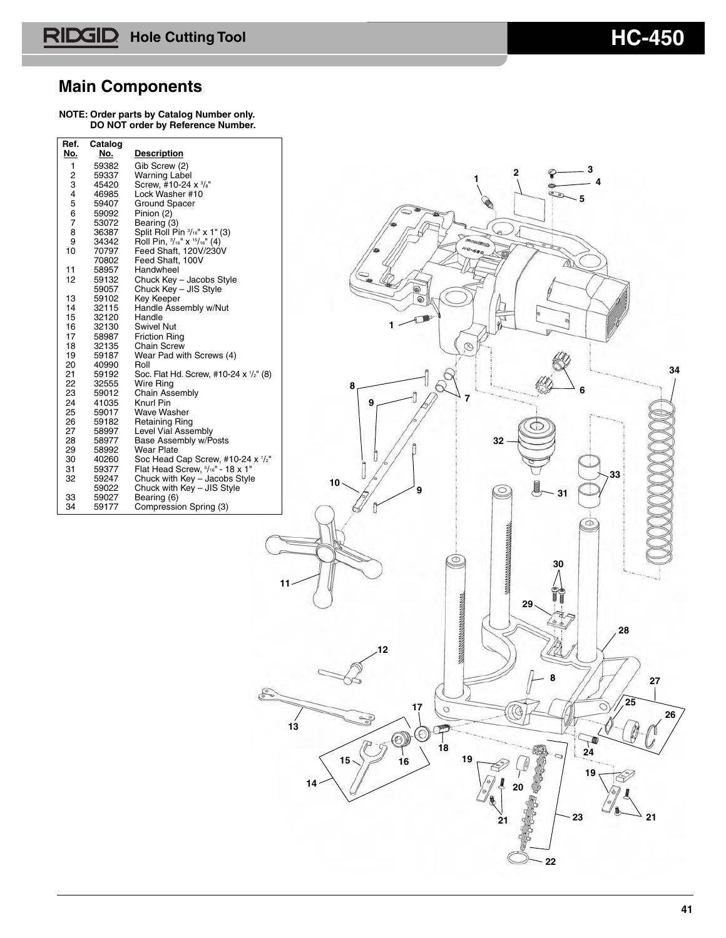### **Main Components**

| Ref.         | Catalog        |                                                                                                         |                                          |
|--------------|----------------|---------------------------------------------------------------------------------------------------------|------------------------------------------|
| <u>No.</u>   | <u>No.</u>     | <b>Description</b>                                                                                      |                                          |
| $\mathbf{1}$ | 59382          | Gib Screw (2)<br><b>Warning Label</b>                                                                   | 3<br>2                                   |
| 2<br>3       | 59337<br>45420 | Screw, #10-24 x 3/8"                                                                                    |                                          |
| 4            | 46985          | Lock Washer #10                                                                                         | 5                                        |
| 5            | 59407          | Ground Spacer                                                                                           |                                          |
| $rac{6}{7}$  | 59092<br>53072 | Pinion (2)                                                                                              |                                          |
| 8            | 36387          | Bearing (3)<br>Split Roll Pin $\frac{3}{16}$ x 1" (3)<br>Roll Pin, $\frac{3}{16}$ x $\frac{16}{16}$ (4) | a                                        |
| 9            | 34342          |                                                                                                         | <b>POSTERO</b>                           |
| 10           | 70797          | Feed Shaft, 120V/230V<br>Feed Shaft, 100V                                                               | NO-680                                   |
| 11           | 70802<br>58957 | Handwheel                                                                                               |                                          |
| 12           | 59132          | Chuck Key - Jacobs Style                                                                                |                                          |
|              | 59057          | Chuck Key - JIS Style                                                                                   | ๑                                        |
| 13<br>14     | 59102<br>32115 | Key Keeper<br>Handle Assembly w/Nut                                                                     | ๑                                        |
| 15           | 32120          | Handle                                                                                                  |                                          |
| 16           | 32130          | <b>Swivel Nut</b>                                                                                       | 1                                        |
| 17<br>18     | 58987<br>32135 | <b>Friction Ring</b><br>Chain Screw                                                                     | $\varnothing$                            |
| 19           | 59187          | Wear Pad with Screws (4)                                                                                |                                          |
| 20           | 40990          | Roll                                                                                                    | 34                                       |
| 21           | 59192          | Soc. Flat Hd. Screw, #10-24 x 1/2" (8)                                                                  |                                          |
| 22<br>23     | 32555<br>59012 | Wire Ring<br>Chain Assembly                                                                             | $\varnothing$<br>8<br>6                  |
| 24           | 41035          | Knurl Pin                                                                                               | 7<br>9                                   |
| 25           | 59017          | Wave Washer                                                                                             |                                          |
| 26<br>27     | 59182<br>58997 | <b>Retaining Ring</b><br>Level Vial Assembly                                                            |                                          |
| 28           | 58977          | Base Assembly w/Posts                                                                                   | 32                                       |
| 29           | 58992          | Wear Plate                                                                                              |                                          |
| 30<br>31     | 40260<br>59377 | Soc Head Cap Screw, #10-24 x 1/2"<br>Flat Head Screw, $5/16$ " - 18 x 1"                                |                                          |
| 32           | 59247          | Chuck with Key - Jacobs Style                                                                           | 33<br>10 <sub>1</sub>                    |
|              | 59022          | Chuck with Key - JIS Style                                                                              | 9<br>$\subseteq$<br>31                   |
| 33<br>34     | 59027<br>59177 | Bearing (6)<br>Compression Spring (3)                                                                   |                                          |
|              |                |                                                                                                         | ⊙                                        |
|              |                |                                                                                                         |                                          |
|              |                |                                                                                                         | <b>MANAGEMENT COMMUNISTIC</b>            |
|              |                |                                                                                                         | ⊕                                        |
|              |                |                                                                                                         | 30                                       |
|              |                |                                                                                                         | 11                                       |
|              |                |                                                                                                         |                                          |
|              |                |                                                                                                         | 29.                                      |
|              |                |                                                                                                         |                                          |
|              |                |                                                                                                         | 28                                       |
|              |                |                                                                                                         | <b><i><u>REGISTERATION</u></i></b><br>12 |
|              |                |                                                                                                         |                                          |
|              |                |                                                                                                         |                                          |
|              |                |                                                                                                         | 27                                       |
|              |                |                                                                                                         | 25                                       |
|              |                |                                                                                                         | 17<br>O<br>26                            |
|              |                |                                                                                                         | $\frac{1}{2}$<br>13                      |
|              |                |                                                                                                         | $\odot$<br>$\circledcirc$                |
|              |                |                                                                                                         | 18<br>$\overline{24}$                    |
|              |                |                                                                                                         | $15 -$<br>19<br>16                       |
|              |                |                                                                                                         | 19                                       |
|              |                |                                                                                                         | 14                                       |
|              |                |                                                                                                         |                                          |
|              |                |                                                                                                         | 23<br>21<br>21                           |
|              |                |                                                                                                         |                                          |
|              |                |                                                                                                         |                                          |
|              |                |                                                                                                         |                                          |
|              |                |                                                                                                         | 22                                       |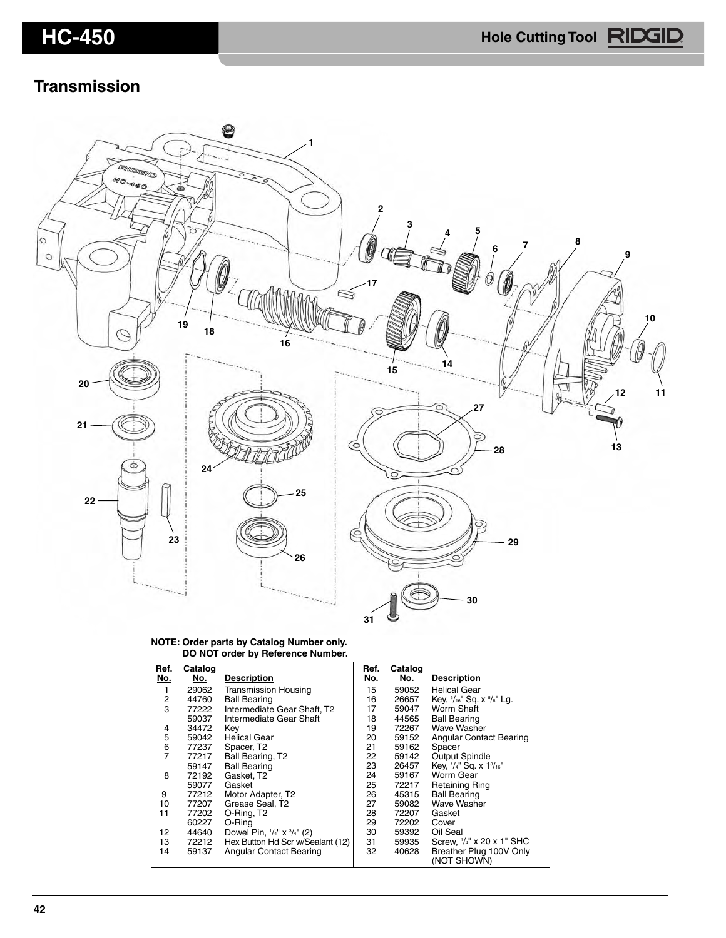### **Transmission**



**NOTE: Order parts by Catalog Number only. DO NOT order by Reference Number.**

| Ref. | Catalog |                                              | Ref.       | Catalog    |                                                 |
|------|---------|----------------------------------------------|------------|------------|-------------------------------------------------|
| No.  | No.     | <b>Description</b>                           | <u>No.</u> | <u>No.</u> | <b>Description</b>                              |
| 1    | 29062   | <b>Transmission Housing</b>                  | 15         | 59052      | <b>Helical Gear</b>                             |
| 2    | 44760   | <b>Ball Bearing</b>                          | 16         | 26657      | Key, $\frac{3}{16}$ " Sq. x $\frac{5}{8}$ " Lg. |
| 3    | 77222   | Intermediate Gear Shaft, T2                  | 17         | 59047      | Worm Shaft                                      |
|      | 59037   | Intermediate Gear Shaft                      | 18         | 44565      | <b>Ball Bearing</b>                             |
| 4    | 34472   | Key                                          | 19         | 72267      | Wave Washer                                     |
| 5    | 59042   | <b>Helical Gear</b>                          | 20         | 59152      | <b>Angular Contact Bearing</b>                  |
| 6    | 77237   | Spacer, T2                                   | 21         | 59162      | Spacer                                          |
| 7    | 77217   | Ball Bearing, T2                             | 22         | 59142      | Output Spindle                                  |
|      | 59147   | <b>Ball Bearing</b>                          | 23         | 26457      | Key, 1/4" Sq. x 13/16"                          |
| 8    | 72192   | Gasket, T2                                   | 24         | 59167      | Worm Gear                                       |
|      | 59077   | Gasket                                       | 25         | 72217      | <b>Retaining Ring</b>                           |
| 9    | 77212   | Motor Adapter, T2                            | 26         | 45315      | <b>Ball Bearing</b>                             |
| 10   | 77207   | Grease Seal, T2                              | 27         | 59082      | Wave Washer                                     |
| 11   | 77202   | O-Ring, T <sub>2</sub>                       | 28         | 72207      | Gasket                                          |
|      | 60227   | O-Ring                                       | 29         | 72202      | Cover                                           |
| 12   | 44640   | Dowel Pin, $\frac{1}{4}$ x $\frac{3}{4}$ (2) | 30         | 59392      | Oil Seal                                        |
| 13   | 72212   | Hex Button Hd Scr w/Sealant (12)             | 31         | 59935      | Screw, 1/4" x 20 x 1" SHC                       |
| 14   | 59137   | Angular Contact Bearing                      | 32         | 40628      | Breather Plug 100V Only<br>(NOT SHOWN)          |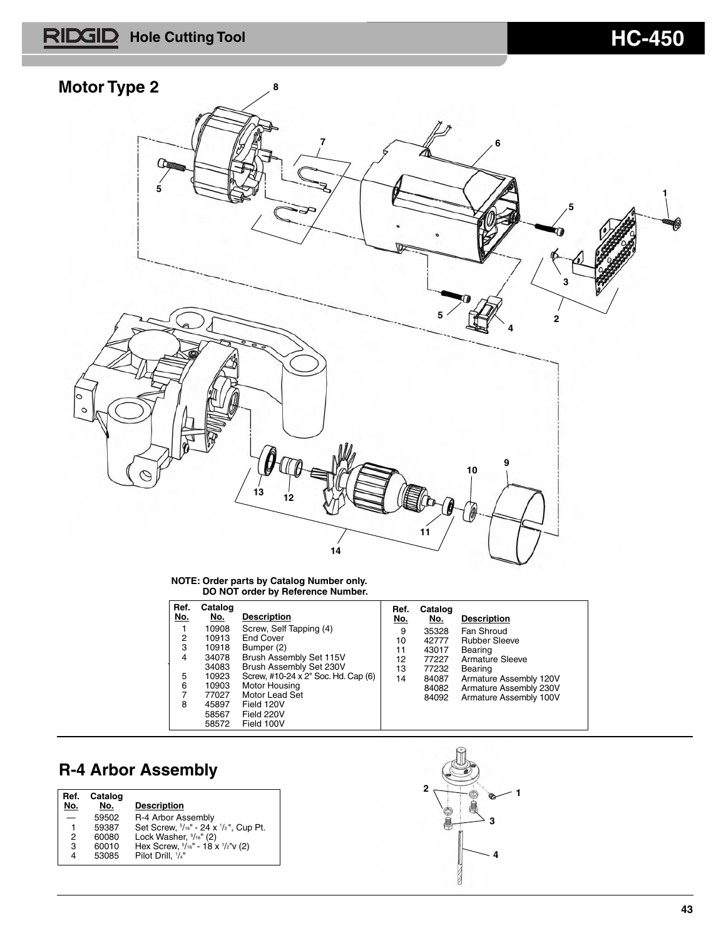# **HC-450 Hole Cutting Tool Manual Account 10 Manual Account 10 Manual Account 10 Manual Account 10 Manual Account 10 Manual Account 10 Manual Account 10 Manual Account 10 Manual Account 10 Manual Account 10 Manual Accou**



### **NOTE: Order parts by Catalog Number only. DO NOT order by Reference Number.**

| Ref.<br>No.    | Catalog<br>No. | <b>Description</b>                  | Ref.<br>No. | Catalog<br>No. | <b>Description</b>     |
|----------------|----------------|-------------------------------------|-------------|----------------|------------------------|
|                | 10908          | Screw, Self Tapping (4)             | 9           | 35328          | Fan Shroud             |
| 2              | 10913          | End Cover                           | 10          | 42777          | <b>Rubber Sleeve</b>   |
| 3              | 10918          | Bumper (2)                          | 11          | 43017          | Bearing                |
| $\overline{4}$ | 34078          | Brush Assembly Set 115V             | 12          | 77227          | Armature Sleeve        |
|                | 34083          | Brush Assembly Set 230V             | 13          | 77232          | Bearing                |
| 5              | 10923          | Screw, #10-24 x 2" Soc. Hd. Cap (6) | 14          | 84087          | Armature Assembly 120V |
| 6              | 10903          | Motor Housing                       |             | 84082          | Armature Assembly 230V |
| 7              | 77027          | Motor Lead Set                      |             | 84092          | Armature Assembly 100V |
| 8              | 45897          | Field 120V                          |             |                |                        |
|                | 58567          | Field 220V                          |             |                |                        |
|                | 58572          | Field 100V                          |             |                |                        |

## **R-4 Arbor Assembly**

| Ref.<br>No. | Catalog<br>No. | <b>Description</b>                                          |  |
|-------------|----------------|-------------------------------------------------------------|--|
|             | 59502          | R-4 Arbor Assembly                                          |  |
|             | 59387          | Set Screw, $\frac{5}{16}$ " - 24 x $\frac{1}{2}$ ", Cup Pt. |  |
|             | 60080          | Lock Washer, $\frac{5}{16}$ " (2)                           |  |
| 3           | 60010          | Hex Screw, $5/16"$ - 18 x $1/2"$ v (2)                      |  |
| 4           | 53085          | Pilot Drill. '/4"                                           |  |
|             |                |                                                             |  |

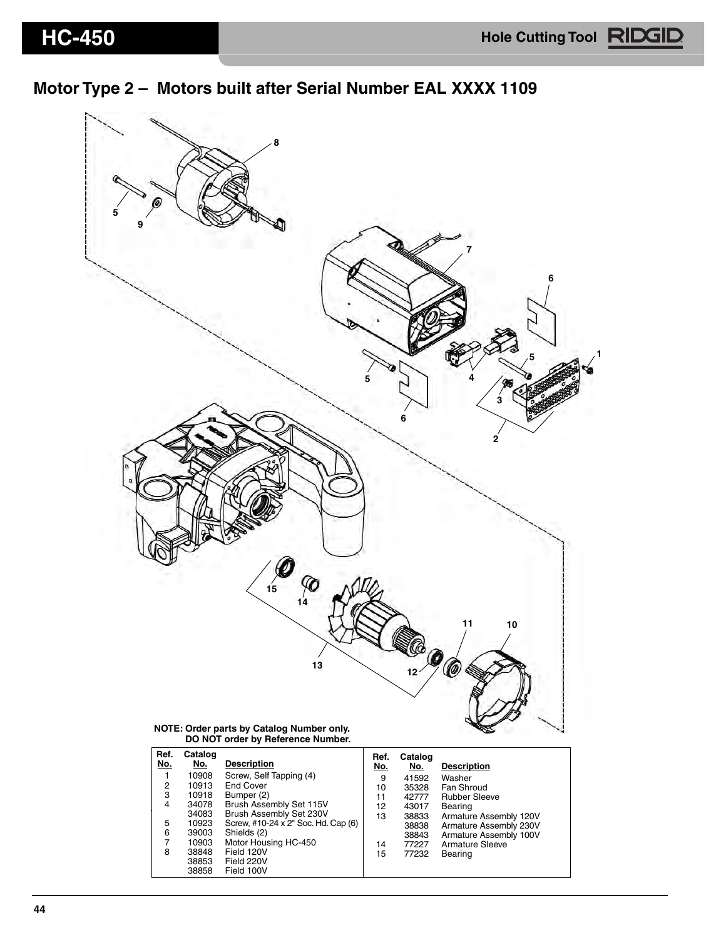**1**

## **Motor Type 2 – Motors built after Serial Number EAL XXXX 1109**



| Ref.<br>No. | Catalog<br>No. | <b>Description</b>                  | Ref.<br>No. | Catalog<br>No. | <b>Description</b>     |
|-------------|----------------|-------------------------------------|-------------|----------------|------------------------|
|             | 10908          | Screw, Self Tapping (4)             | 9           | 41592          | Washer                 |
| 2           | 10913          | End Cover                           | 10          | 35328          | Fan Shroud             |
| 3           | 10918          | Bumper (2)                          | 11          | 42777          | <b>Rubber Sleeve</b>   |
| 4           | 34078          | Brush Assembly Set 115V             | 12          | 43017          | Bearing                |
|             | 34083          | Brush Assembly Set 230V             | 13          | 38833          | Armature Assembly 120V |
| 5           | 10923          | Screw, #10-24 x 2" Soc. Hd. Cap (6) |             | 38838          | Armature Assembly 230V |
| 6           | 39003          | Shields (2)                         |             | 38843          | Armature Assembly 100V |
| 7           | 10903          | Motor Housing HC-450                | 14          | 77227          | Armature Sleeve        |
| 8           | 38848          | Field 120V                          | 15          | 77232          | Bearing                |
|             | 38853          | Field 220V                          |             |                |                        |
|             | 38858          | Field 100V                          |             |                |                        |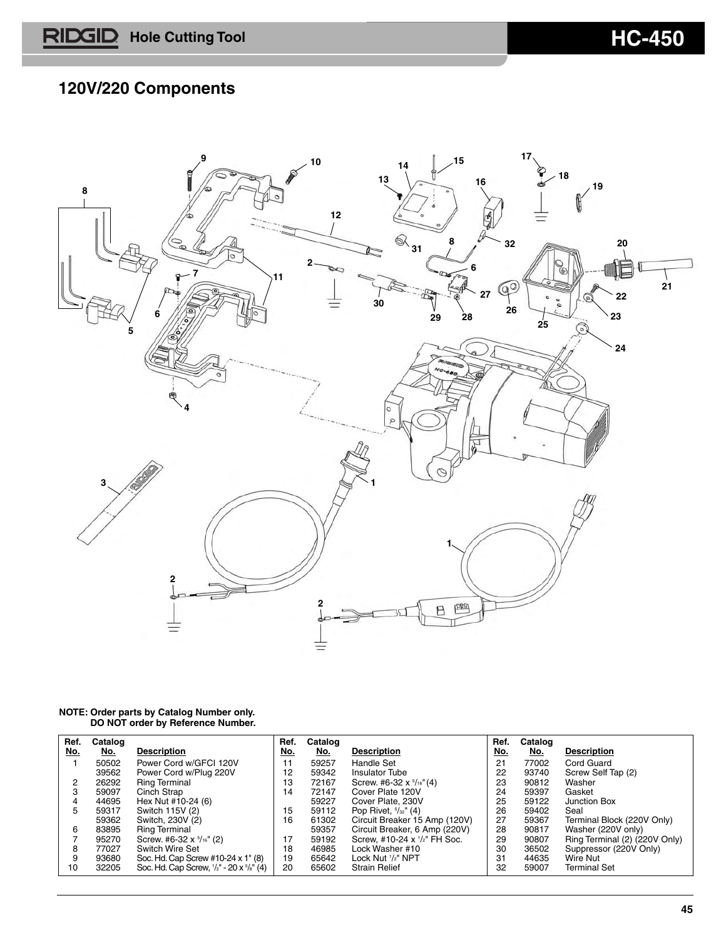## **120V/220 Components**



| Ref. | Catalog    |                                          | Ref. | Catalog    |                                      | Ref. | Catalog    |                               |
|------|------------|------------------------------------------|------|------------|--------------------------------------|------|------------|-------------------------------|
| No.  | <u>No.</u> | <b>Description</b>                       | No.  | <u>No.</u> | <b>Description</b>                   | No.  | <u>No.</u> | <b>Description</b>            |
|      | 50502      | Power Cord w/GFCI 120V                   | 11   | 59257      | Handle Set                           | 21   | 77002      | Cord Guard                    |
|      | 39562      | Power Cord w/Plug 220V                   | 12   | 59342      | <b>Insulator Tube</b>                | 22   | 93740      | Screw Self Tap (2)            |
|      | 26292      | <b>Ring Terminal</b>                     | 13   | 72167      | Screw. #6-32 $x$ $\frac{5}{16}$ "(4) | 23   | 90812      | Washer                        |
| 3    | 59097      | Cinch Strap                              | 14   | 72147      | Cover Plate 120V                     | 24   | 59397      | Gasket                        |
|      | 44695      | Hex Nut #10-24 (6)                       |      | 59227      | Cover Plate, 230V                    | 25   | 59122      | Junction Box                  |
| 5    | 59317      | Switch 115V (2)                          | 15   | 59112      | Pop Rivet, $\frac{5}{32}$ " (4)      | 26   | 59402      | Seal                          |
|      | 59362      | Switch, 230V (2)                         | 16   | 61302      | Circuit Breaker 15 Amp (120V)        | 27   | 59367      | Terminal Block (220V Only)    |
| 6    | 83895      | <b>Ring Terminal</b>                     |      | 59357      | Circuit Breaker, 6 Amp (220V)        | 28   | 90817      | Washer (220V only)            |
|      | 95270      | Screw. #6-32 $x$ $\frac{5}{16}$ " (2)    | 17   | 59192      | Screw, #10-24 x 1/2" FH Soc.         | 29   | 90807      | Ring Terminal (2) (220V Only) |
| 8    | 77027      | Switch Wire Set                          | 18   | 46985      | Lock Washer #10                      | 30   | 36502      | Suppressor (220V Only)        |
| 9    | 93680      | Soc. Hd. Cap Screw #10-24 x 1" (8)       | 19   | 65642      | Lock Nut '/2" NPT                    | 31   | 44635      | Wire Nut                      |
| 10   | 32205      | Soc. Hd. Cap Screw, 1/2" - 20 x 5/8" (4) | 20   | 65602      | <b>Strain Relief</b>                 | 32   | 59007      | <b>Terminal Set</b>           |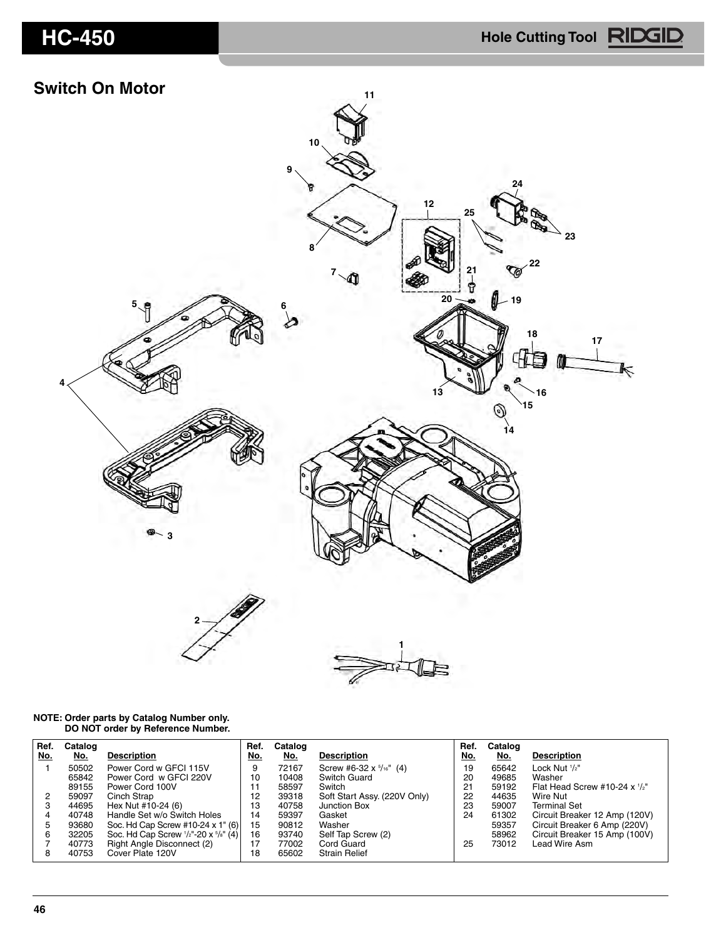### **Switch On Motor**



| Ref. | Catalog |                                                            | Ref. | Catalog |                                  | Ref. | Catalog |                                    |
|------|---------|------------------------------------------------------------|------|---------|----------------------------------|------|---------|------------------------------------|
| No.  | No.     | <b>Description</b>                                         | No.  | No.     | <b>Description</b>               | No.  | No.     | <b>Description</b>                 |
|      | 50502   | Power Cord w GFCI 115V                                     | 9    | 72167   | Screw #6-32 $x \frac{5}{16}$ (4) | 19   | 65642   | Lock Nut 1/2"                      |
|      | 65842   | Power Cord w GFCI 220V                                     | 10   | 10408   | Switch Guard                     | 20   | 49685   | Washer                             |
|      | 89155   | Power Cord 100V                                            | 11   | 58597   | Switch                           | 21   | 59192   | Flat Head Screw #10-24 $x$ $1/z$ " |
| 2    | 59097   | Cinch Strap                                                | 12   | 39318   | Soft Start Assy. (220V Only)     | 22   | 44635   | Wire Nut                           |
| 3    | 44695   | Hex Nut #10-24 (6)                                         | 13   | 40758   | Junction Box                     | 23   | 59007   | <b>Terminal Set</b>                |
| 4    | 40748   | Handle Set w/o Switch Holes                                | 14   | 59397   | Gasket                           | 24   | 61302   | Circuit Breaker 12 Amp (120V)      |
| 5    | 93680   | Soc. Hd Cap Screw #10-24 x 1" (6)                          | 15   | 90812   | Washer                           |      | 59357   | Circuit Breaker 6 Amp (220V)       |
| 6    | 32205   | Soc. Hd Cap Screw $\frac{1}{2}$ "-20 x $\frac{5}{8}$ " (4) | 16   | 93740   | Self Tap Screw (2)               |      | 58962   | Circuit Breaker 15 Amp (100V)      |
|      | 40773   | Right Angle Disconnect (2)                                 | 17   | 77002   | Cord Guard                       | 25   | 73012   | Lead Wire Asm                      |
| 8    | 40753   | Cover Plate 120V                                           | 18   | 65602   | <b>Strain Relief</b>             |      |         |                                    |